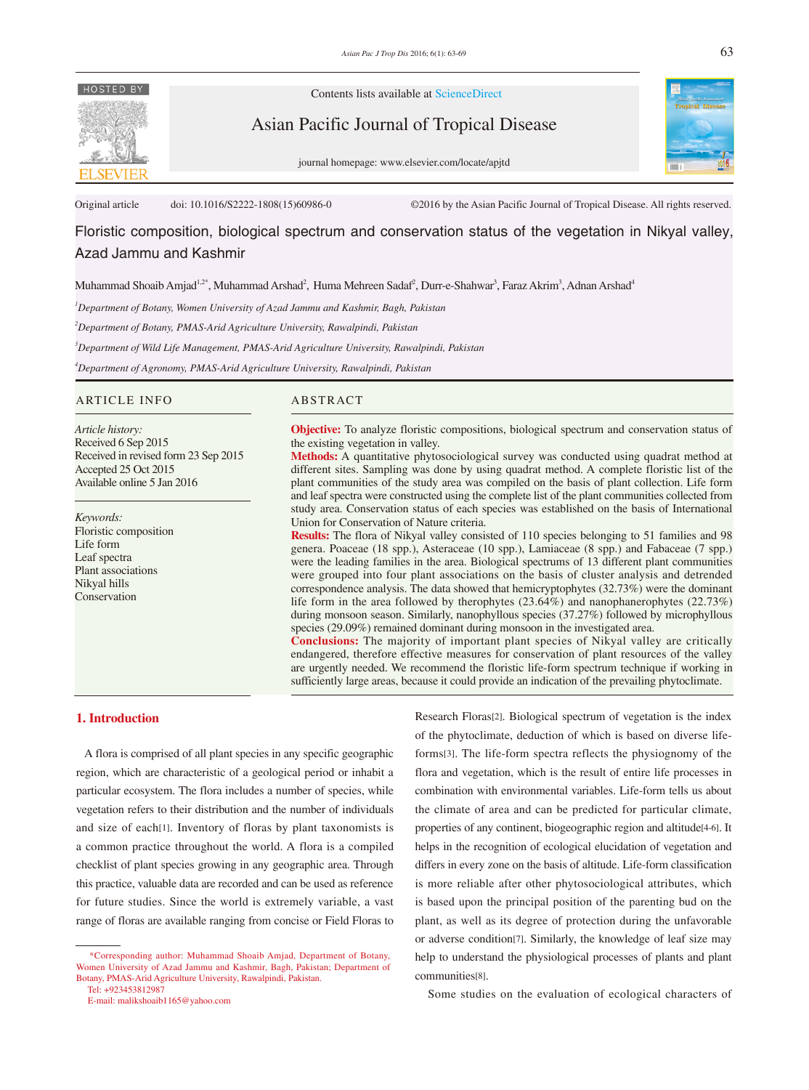

Contents lists available at ScienceDirect

Asian Pacific Journal of Tropical Disease





Original article doi: 10.1016/S2222-1808(15)60986-0 ©2016 by the Asian Pacific Journal of Tropical Disease. All rights reserved.

Floristic composition, biological spectrum and conservation status of the vegetation in Nikyal valley, Azad Jammu and Kashmir

Muhammad Shoaib Amjad<sup>1,2\*</sup>, Muhammad Arshad<sup>2</sup>, Huma Mehreen Sadaf<sup>2</sup>, Durr-e-Shahwar<sup>3</sup>, Faraz Akrim<sup>3</sup>, Adnan Arshad<sup>4</sup>

*1 Department of Botany, Women University of Azad Jammu and Kashmir, Bagh, Pakistan*

*2 Department of Botany, PMAS-Arid Agriculture University, Rawalpindi, Pakistan*

*3 Department of Wild Life Management, PMAS-Arid Agriculture University, Rawalpindi, Pakistan*

*4 Department of Agronomy, PMAS-Arid Agriculture University, Rawalpindi, Pakistan*

### ARTICLE INFO ABSTRACT

*Article history:* Received 6 Sep 2015 Received in revised form 23 Sep 2015 Accepted 25 Oct 2015 Available online 5 Jan 2016

*Keywords:* Floristic composition Life form Leaf spectra Plant associations Nikyal hills **Conservation** 

**Objective:** To analyze floristic compositions, biological spectrum and conservation status of the existing vegetation in valley.

**Methods:** A quantitative phytosociological survey was conducted using quadrat method at different sites. Sampling was done by using quadrat method. A complete floristic list of the plant communities of the study area was compiled on the basis of plant collection. Life form and leaf spectra were constructed using the complete list of the plant communities collected from study area. Conservation status of each species was established on the basis of International Union for Conservation of Nature criteria.

**Results:** The flora of Nikyal valley consisted of 110 species belonging to 51 families and 98 genera. Poaceae (18 spp.), Asteraceae (10 spp.), Lamiaceae (8 spp.) and Fabaceae (7 spp.) were the leading families in the area. Biological spectrums of 13 different plant communities were grouped into four plant associations on the basis of cluster analysis and detrended correspondence analysis. The data showed that hemicryptophytes (32.73%) were the dominant life form in the area followed by therophytes (23.64%) and nanophanerophytes (22.73%) during monsoon season. Similarly, nanophyllous species (37.27%) followed by microphyllous species (29.09%) remained dominant during monsoon in the investigated area.

**Conclusions:** The majority of important plant species of Nikyal valley are critically endangered, therefore effective measures for conservation of plant resources of the valley are urgently needed. We recommend the floristic life-form spectrum technique if working in sufficiently large areas, because it could provide an indication of the prevailing phytoclimate.

### **1. Introduction**

 A flora is comprised of all plant species in any specific geographic region, which are characteristic of a geological period or inhabit a particular ecosystem. The flora includes a number of species, while vegetation refers to their distribution and the number of individuals and size of each[1]. Inventory of floras by plant taxonomists is a common practice throughout the world. A flora is a compiled checklist of plant species growing in any geographic area. Through this practice, valuable data are recorded and can be used as reference for future studies. Since the world is extremely variable, a vast range of floras are available ranging from concise or Field Floras to

Tel: +923453812987

E-mail: malikshoaib1165@yahoo.com

Research Floras[2]. Biological spectrum of vegetation is the index of the phytoclimate, deduction of which is based on diverse lifeforms[3]. The life-form spectra reflects the physiognomy of the flora and vegetation, which is the result of entire life processes in combination with environmental variables. Life-form tells us about the climate of area and can be predicted for particular climate, properties of any continent, biogeographic region and altitude[4-6]. It helps in the recognition of ecological elucidation of vegetation and differs in every zone on the basis of altitude. Life-form classification is more reliable after other phytosociological attributes, which is based upon the principal position of the parenting bud on the plant, as well as its degree of protection during the unfavorable or adverse condition[7]. Similarly, the knowledge of leaf size may help to understand the physiological processes of plants and plant communities[8].

Some studies on the evaluation of ecological characters of

 <sup>\*</sup>Corresponding author: Muhammad Shoaib Amjad, Department of Botany, Women University of Azad Jammu and Kashmir, Bagh, Pakistan; Department of Botany, PMAS-Arid Agriculture University, Rawalpindi, Pakistan.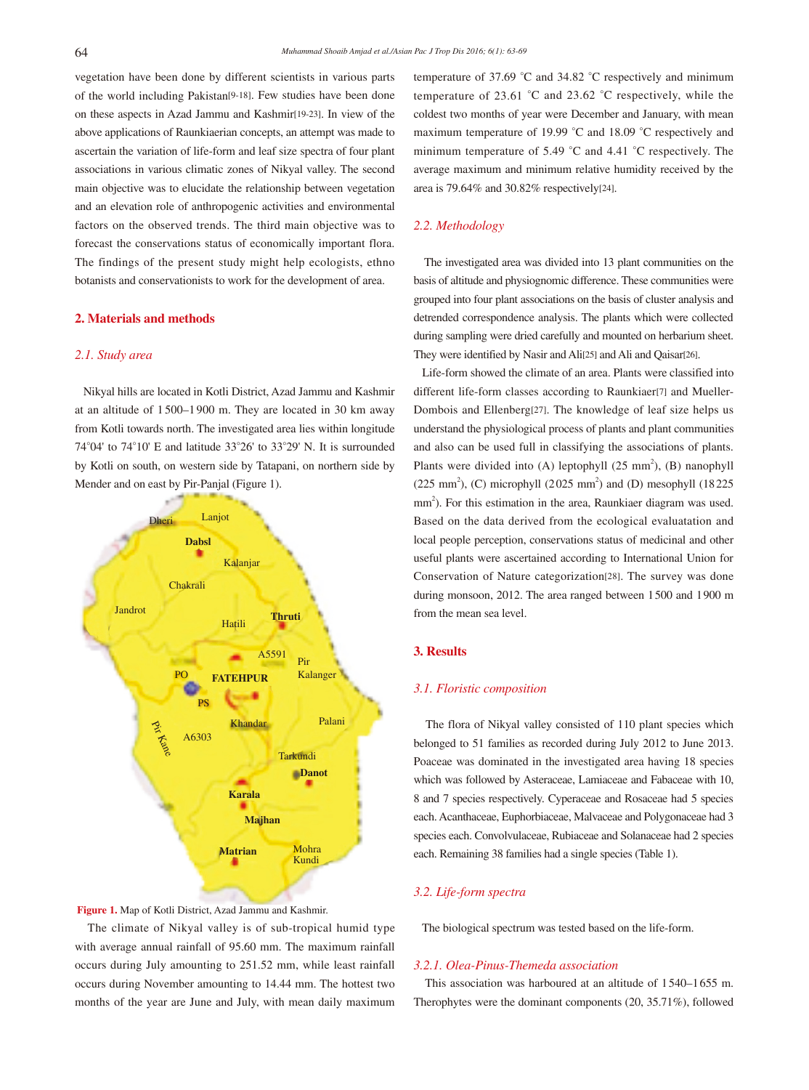vegetation have been done by different scientists in various parts of the world including Pakistan[9-18]. Few studies have been done on these aspects in Azad Jammu and Kashmir[19-23]. In view of the above applications of Raunkiaerian concepts, an attempt was made to ascertain the variation of life-form and leaf size spectra of four plant associations in various climatic zones of Nikyal valley. The second main objective was to elucidate the relationship between vegetation and an elevation role of anthropogenic activities and environmental factors on the observed trends. The third main objective was to forecast the conservations status of economically important flora. The findings of the present study might help ecologists, ethno botanists and conservationists to work for the development of area.

### **2. Materials and methods**

# *2.1. Study area*

 Nikyal hills are located in Kotli District, Azad Jammu and Kashmir at an altitude of 1 500–1 900 m. They are located in 30 km away from Kotli towards north. The investigated area lies within longitude 74°04' to 74°10' E and latitude 33°26' to 33°29' N. It is surrounded by Kotli on south, on western side by Tatapani, on northern side by Mender and on east by Pir-Panjal (Figure 1).





 The climate of Nikyal valley is of sub-tropical humid type with average annual rainfall of 95.60 mm. The maximum rainfall occurs during July amounting to 251.52 mm, while least rainfall occurs during November amounting to 14.44 mm. The hottest two months of the year are June and July, with mean daily maximum temperature of 37.69 °C and 34.82 °C respectively and minimum temperature of 23.61 °C and 23.62 °C respectively, while the coldest two months of year were December and January, with mean maximum temperature of 19.99 °C and 18.09 °C respectively and minimum temperature of 5.49 °C and 4.41 °C respectively. The average maximum and minimum relative humidity received by the area is 79.64% and 30.82% respectively[24].

# *2.2. Methodology*

 The investigated area was divided into 13 plant communities on the basis of altitude and physiognomic difference. These communities were grouped into four plant associations on the basis of cluster analysis and detrended correspondence analysis. The plants which were collected during sampling were dried carefully and mounted on herbarium sheet. They were identified by Nasir and Ali[25] and Ali and Qaisar[26].

 Life-form showed the climate of an area. Plants were classified into different life-form classes according to Raunkiaer[7] and Mueller-Dombois and Ellenberg[27]. The knowledge of leaf size helps us understand the physiological process of plants and plant communities and also can be used full in classifying the associations of plants. Plants were divided into (A) leptophyll  $(25 \text{ mm}^2)$ , (B) nanophyll  $(225 \text{ mm}^2)$ , (C) microphyll  $(2025 \text{ mm}^2)$  and (D) mesophyll  $(18225 \text{ mm}^2)$ mm<sup>2</sup>). For this estimation in the area, Raunkiaer diagram was used. Based on the data derived from the ecological evaluatation and local people perception, conservations status of medicinal and other useful plants were ascertained according to International Union for Conservation of Nature categorization[28]. The survey was done during monsoon, 2012. The area ranged between 1500 and 1900 m from the mean sea level.

### **3. Results**

### *3.1. Floristic composition*

 The flora of Nikyal valley consisted of 110 plant species which belonged to 51 families as recorded during July 2012 to June 2013. Poaceae was dominated in the investigated area having 18 species which was followed by Asteraceae, Lamiaceae and Fabaceae with 10, 8 and 7 species respectively. Cyperaceae and Rosaceae had 5 species each. Acanthaceae, Euphorbiaceae, Malvaceae and Polygonaceae had 3 species each. Convolvulaceae, Rubiaceae and Solanaceae had 2 species each. Remaining 38 families had a single species (Table 1).

# *3.2. Life-form spectra*

The biological spectrum was tested based on the life-form.

### *3.2.1. Olea-Pinus-Themeda association*

 This association was harboured at an altitude of 1540–1655 m. Therophytes were the dominant components (20, 35.71%), followed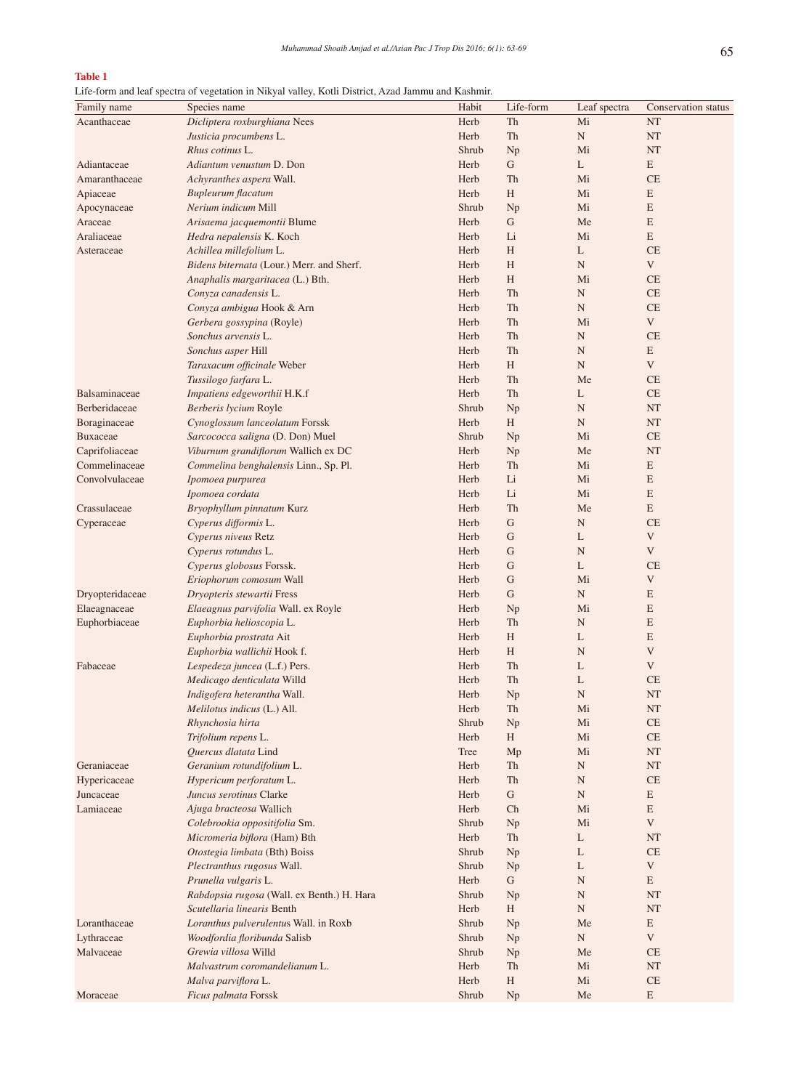# **Table 1**

Life-form and leaf spectra of vegetation in Nikyal valley, Kotli District, Azad Jammu and Kashmir.

| Family name     | Species name                               | Habit | Life-form | Leaf spectra | <b>Conservation status</b> |
|-----------------|--------------------------------------------|-------|-----------|--------------|----------------------------|
| Acanthaceae     | Dicliptera roxburghiana Nees               | Herb  | Th        | Mi           | <b>NT</b>                  |
|                 | Justicia procumbens L.                     | Herb  | Th        | N            | NT                         |
|                 | Rhus cotinus L.                            | Shrub | Np        | Mi           | $\rm{NT}$                  |
| Adiantaceae     | Adiantum venustum D. Don                   | Herb  | ${\bf G}$ | $\mathbf L$  | E                          |
| Amaranthaceae   | Achyranthes aspera Wall.                   | Herb  | Th        | Mi           | CE                         |
| Apiaceae        | Bupleurum flacatum                         | Herb  | $\rm H$   | Mi           | $\mathbf E$                |
| Apocynaceae     | Nerium indicum Mill                        | Shrub | Np        | Mi           | E                          |
| Araceae         | Arisaema jacquemontii Blume                | Herb  | G         | Me           | E                          |
| Araliaceae      | Hedra nepalensis K. Koch                   | Herb  | Li        | Mi           | E                          |
| Asteraceae      | Achillea millefolium L.                    | Herb  | H         | L            | CE                         |
|                 | Bidens biternata (Lour.) Merr. and Sherf.  | Herb  | H         | ${\bf N}$    | V                          |
|                 | Anaphalis margaritacea (L.) Bth.           | Herb  | H         | Mi           | $\rm CE$                   |
|                 | Conyza canadensis L.                       | Herb  | Th        | N            | <b>CE</b>                  |
|                 | Conyza ambigua Hook & Arn                  | Herb  | Th        | ${\bf N}$    | CE                         |
|                 | Gerbera gossypina (Royle)                  | Herb  | Th        | Mi           | $\mathbf V$                |
|                 | Sonchus arvensis L.                        | Herb  | Th        | ${\bf N}$    | CE                         |
|                 | Sonchus asper Hill                         | Herb  | Th        | ${\bf N}$    | $\mathbf E$                |
|                 | Taraxacum officinale Weber                 | Herb  | H         | ${\bf N}$    | $\mathbf V$                |
|                 | Tussilogo farfara L.                       | Herb  | Th        | Me           | <b>CE</b>                  |
| Balsaminaceae   | Impatiens edgeworthii H.K.f                | Herb  | Th        | L            | <b>CE</b>                  |
| Berberidaceae   | Berberis lycium Royle                      | Shrub | Np        | $\mathbf N$  | $\rm{NT}$                  |
| Boraginaceae    | Cynoglossum lanceolatum Forssk             | Herb  | $\rm H$   | ${\bf N}$    | $\rm{NT}$                  |
| Buxaceae        | Sarcococca saligna (D. Don) Muel           | Shrub | Np        | Mi           | CE                         |
| Caprifoliaceae  | Viburnum grandiflorum Wallich ex DC        | Herb  | Np        | Me           | NT                         |
| Commelinaceae   | Commelina benghalensis Linn., Sp. Pl.      | Herb  | Th        | Mi           | E                          |
| Convolvulaceae  | Ipomoea purpurea                           | Herb  | Li        | Mi           | E                          |
|                 | Ipomoea cordata                            | Herb  | Li        | Mi           | E                          |
| Crassulaceae    | Bryophyllum pinnatum Kurz                  | Herb  | Th        | Me           | E                          |
| Cyperaceae      | Cyperus difformis L.                       | Herb  | ${\bf G}$ | ${\bf N}$    | <b>CE</b>                  |
|                 | Cyperus niveus Retz                        | Herb  | ${\bf G}$ | L            | $\mathbf V$                |
|                 | Cyperus rotundus L.                        | Herb  | G         | $\mathbf N$  | $\mathbf V$                |
|                 | Cyperus globosus Forssk.                   | Herb  | G         | L            | <b>CE</b>                  |
|                 | Eriophorum comosum Wall                    | Herb  | G         | Mi           | $\mathbf V$                |
| Dryopteridaceae | Dryopteris stewartii Fress                 | Herb  | ${\bf G}$ | ${\bf N}$    | E                          |
| Elaeagnaceae    | Elaeagnus parvifolia Wall. ex Royle        | Herb  | Np        | Mi           | E                          |
| Euphorbiaceae   | Euphorbia helioscopia L.                   | Herb  | Th        | $\mathbf N$  | E                          |
|                 | Euphorbia prostrata Ait                    | Herb  | $\rm H$   | L            | E                          |
|                 | Euphorbia wallichii Hook f.                | Herb  | H         | ${\bf N}$    | $\mathbf V$                |
| Fabaceae        | Lespedeza juncea (L.f.) Pers.              | Herb  | Th        | L            | $\mathbf V$                |
|                 | Medicago denticulata Willd                 | Herb  | Th        | L            | <b>CE</b>                  |
|                 | <i>Indigofera heterantha</i> Wall.         | Herb  | Np        | Ν            | NT                         |
|                 | Melilotus indicus (L.) All.                | Herb  | Th        | Mi           | $\rm{NT}$                  |
|                 | Rhynchosia hirta                           | Shrub | Np        | Mi           | $\rm CE$                   |
|                 | Trifolium repens L.                        | Herb  | $\,$ H    | Mi           | $\rm CE$                   |
|                 | Quercus dlatata Lind                       | Tree  | Mp        | Mi           | NT                         |
| Geraniaceae     | Geranium rotundifolium L.                  | Herb  | Th        | N            | NT                         |
| Hypericaceae    | Hypericum perforatum L.                    | Herb  | Th        | ${\bf N}$    | $\rm CE$                   |
| Juncaceae       | Juncus serotinus Clarke                    | Herb  | ${\bf G}$ | ${\rm N}$    | $\mathbf E$                |
| Lamiaceae       | Ajuga bracteosa Wallich                    | Herb  | Ch        | Mi           | $\mathbf E$                |
|                 | Colebrookia oppositifolia Sm.              | Shrub | Np        | Mi           | $\ensuremath{\mathbf{V}}$  |
|                 | Micromeria biflora (Ham) Bth               | Herb  | Th        | L            | NT                         |
|                 | Otostegia limbata (Bth) Boiss              | Shrub | Np        | L            | $\rm CE$                   |
|                 | Plectranthus rugosus Wall.                 | Shrub | Np        | $\mathbf L$  | $\ensuremath{\text{V}}$    |
|                 | Prunella vulgaris L.                       | Herb  | G         | ${\bf N}$    | $\mathbf E$                |
|                 | Rabdopsia rugosa (Wall. ex Benth.) H. Hara | Shrub | Np        | ${\bf N}$    | NT                         |
|                 | Scutellaria linearis Benth                 | Herb  | H         | N            | NT                         |
| Loranthaceae    | Loranthus pulverulentus Wall. in Roxb      | Shrub | Np        | Me           | $\mathbf E$                |
| Lythraceae      | Woodfordia floribunda Salisb               | Shrub | Np        | ${\bf N}$    | $\ensuremath{\mathbf{V}}$  |
| Malvaceae       | Grewia villosa Willd                       | Shrub | Np        | Me           | $\rm CE$                   |
|                 | Malvastrum coromandelianum L.              | Herb  | Th        | Mi           | NT                         |
|                 | Malva parviflora L.                        | Herb  | H         | Mi           | $\rm CE$                   |
| Moraceae        | Ficus palmata Forssk                       | Shrub | Np        | Me           | $\mathbf E$                |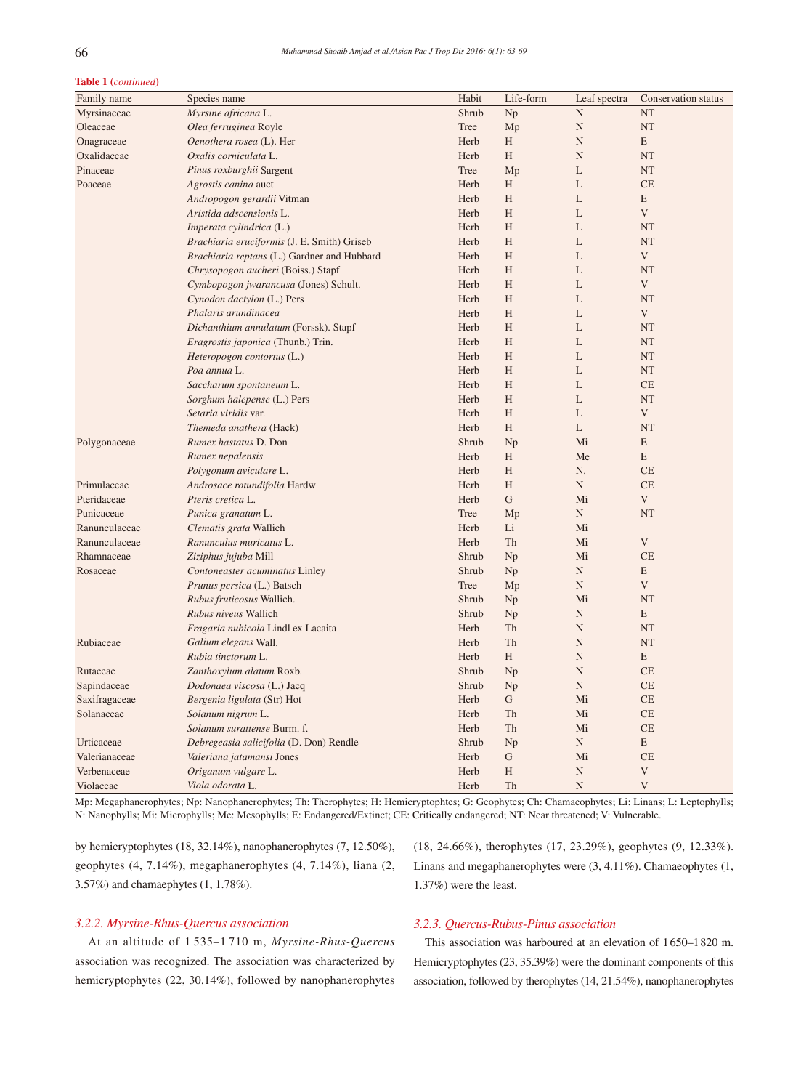### **Table 1 (***continued***)**

| Family name   | Species name                                | Habit | Life-form      | Leaf spectra | Conservation status |
|---------------|---------------------------------------------|-------|----------------|--------------|---------------------|
| Myrsinaceae   | Myrsine africana L.                         | Shrub | Np             | N            | NT                  |
| Oleaceae      | Olea ferruginea Royle                       | Tree  | Mp             | $\mathbf N$  | NT                  |
| Onagraceae    | Oenothera rosea (L). Her                    | Herb  | H              | $\mathbf N$  | E                   |
| Oxalidaceae   | Oxalis corniculata L.                       | Herb  | H              | N            | NT                  |
| Pinaceae      | Pinus roxburghii Sargent                    | Tree  | Mp             | L            | NT                  |
| Poaceae       | Agrostis canina auct                        | Herb  | H              | L            | CE                  |
|               | Andropogon gerardii Vitman                  | Herb  | H              | L            | E                   |
|               | Aristida adscensionis L.                    | Herb  | H              | L            | V                   |
|               | Imperata cylindrica (L.)                    | Herb  | H              | L            | NT                  |
|               | Brachiaria eruciformis (J. E. Smith) Griseb | Herb  | H              | L            | NT                  |
|               | Brachiaria reptans (L.) Gardner and Hubbard | Herb  | H              | L            | V                   |
|               | Chrysopogon aucheri (Boiss.) Stapf          | Herb  | H              | L            | NT                  |
|               | Cymbopogon jwarancusa (Jones) Schult.       | Herb  | H              | L            | V                   |
|               | Cynodon dactylon (L.) Pers                  | Herb  | H              | L            | NT                  |
|               | Phalaris arundinacea                        | Herb  | H              | L            | V                   |
|               | Dichanthium annulatum (Forssk). Stapf       | Herb  | H              | L            | NT                  |
|               | <i>Eragrostis japonica</i> (Thunb.) Trin.   | Herb  | H              | L            | NT                  |
|               | Heteropogon contortus (L.)                  | Herb  | H              | L            | NT                  |
|               | Poa annua L.                                | Herb  | H              | L            | NT                  |
|               | Saccharum spontaneum L.                     | Herb  | H              | L            | <b>CE</b>           |
|               | Sorghum halepense (L.) Pers                 | Herb  | H              | L            | NT                  |
|               | Setaria viridis var.                        | Herb  | H              | L            | V                   |
|               | Themeda anathera (Hack)                     | Herb  | H              | L            | NT                  |
| Polygonaceae  | Rumex hastatus D. Don                       | Shrub | N <sub>p</sub> | Mi           | E                   |
|               | Rumex nepalensis                            | Herb  | H              | Me           | E                   |
|               | Polygonum aviculare L.                      | Herb  | H              | N.           | CE                  |
| Primulaceae   | Androsace rotundifolia Hardw                | Herb  | H              | $\mathbf N$  | CE                  |
| Pteridaceae   | Pteris cretica L.                           | Herb  | G              | Mi           | V                   |
| Punicaceae    | Punica granatum L.                          | Tree  | Mp             | N            | NT                  |
| Ranunculaceae | Clematis grata Wallich                      | Herb  | Li             | Mi           |                     |
| Ranunculaceae | Ranunculus muricatus L.                     | Herb  | Th             | Mi           | V                   |
| Rhamnaceae    | Ziziphus jujuba Mill                        | Shrub | N <sub>p</sub> | Mi           | CE                  |
| Rosaceae      | Contoneaster acuminatus Linley              | Shrub | N <sub>p</sub> | $\mathbf N$  | E                   |
|               | Prunus persica (L.) Batsch                  | Tree  | Mp             | $\mathbf N$  | V                   |
|               | Rubus fruticosus Wallich.                   | Shrub | N <sub>p</sub> | Mi           | NT                  |
|               | Rubus niveus Wallich                        | Shrub | Np             | $\mathbf N$  | E                   |
|               | <i>Fragaria nubicola</i> Lindl ex Lacaita   | Herb  | Th             | N            | NT                  |
| Rubiaceae     | Galium elegans Wall.                        | Herb  | Th             | N            | NT                  |
|               | Rubia tinctorum L.                          | Herb  | H              | N            | $\mathbf E$         |
| Rutaceae      | Zanthoxylum alatum Roxb.                    | Shrub | Np             | N            | CE                  |
| Sapindaceae   | Dodonaea viscosa (L.) Jacq                  | Shrub | Np             | N            | CЕ                  |
| Saxifragaceae | Bergenia ligulata (Str) Hot                 | Herb  | G              | Mi           | $\!$ $\!$           |
| Solanaceae    | Solanum nigrum L.                           | Herb  | Th             | Mi           | $\!$ $\!$           |
|               | Solanum surattense Burm. f.                 | Herb  | Th             | Mi           | CE                  |
| Urticaceae    | Debregeasia salicifolia (D. Don) Rendle     | Shrub | Np             | N            | E                   |
| Valerianaceae | Valeriana jatamansi Jones                   | Herb  | G              | Mi           | $\rm CE$            |
| Verbenaceae   | Origanum vulgare L.                         | Herb  | $\rm H$        | ${\rm N}$    | $\mathbf V$         |
| Violaceae     | Viola odorata L.                            | Herb  | Th             | N            | $\mathbf V$         |

Mp: Megaphanerophytes; Np: Nanophanerophytes; Th: Therophytes; H: Hemicryptophtes; G: Geophytes; Ch: Chamaeophytes; Li: Linans; L: Leptophylls; N: Nanophylls; Mi: Microphylls; Me: Mesophylls; E: Endangered/Extinct; CE: Critically endangered; NT: Near threatened; V: Vulnerable.

by hemicryptophytes (18, 32.14%), nanophanerophytes (7, 12.50%), geophytes (4, 7.14%), megaphanerophytes (4, 7.14%), liana (2, 3.57%) and chamaephytes (1, 1.78%).

# *3.2.2. Myrsine-Rhus-Quercus association*

 At an altitude of 1 535–1 710 m, *Myrsine-Rhus-Quercus* association was recognized. The association was characterized by hemicryptophytes (22, 30.14%), followed by nanophanerophytes

# (18, 24.66%), therophytes (17, 23.29%), geophytes (9, 12.33%). Linans and megaphanerophytes were (3, 4.11%). Chamaeophytes (1, 1.37%) were the least.

# *3.2.3. Quercus-Rubus-Pinus association*

 This association was harboured at an elevation of 1650–1820 m. Hemicryptophytes (23, 35.39%) were the dominant components of this association, followed by therophytes (14, 21.54%), nanophanerophytes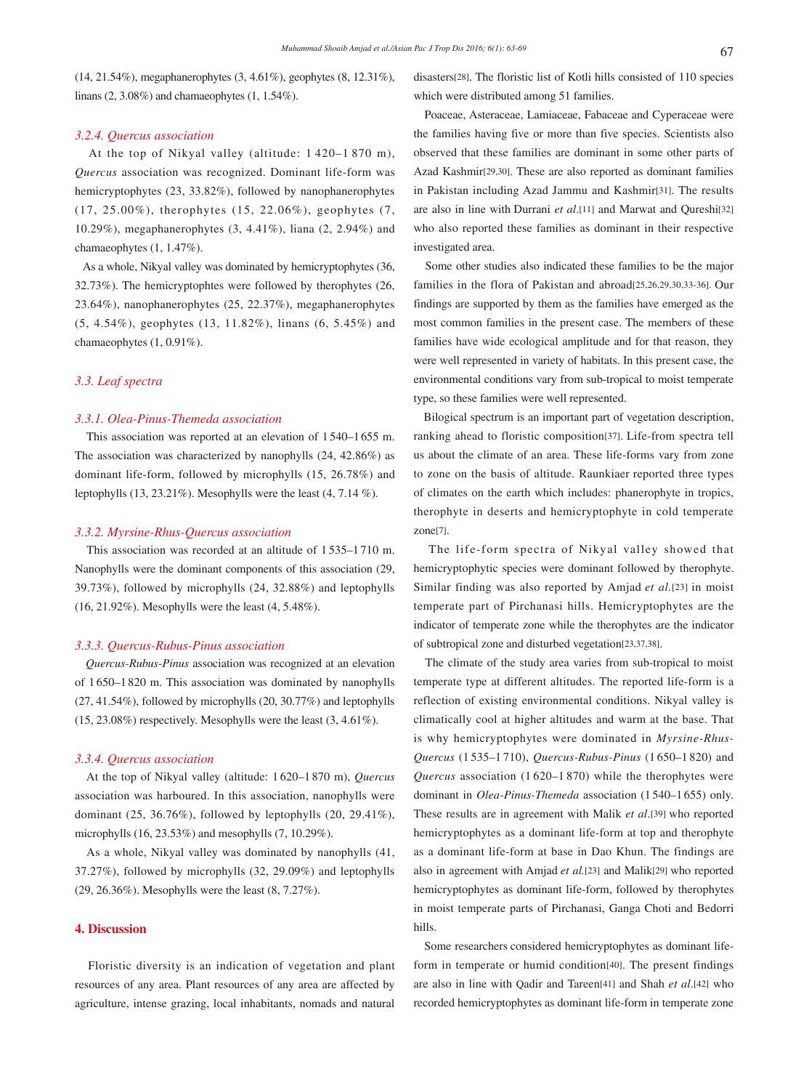(14, 21.54%), megaphanerophytes (3, 4.61%), geophytes (8, 12.31%), linans (2, 3.08%) and chamaeophytes (1, 1.54%).

### *3.2.4. Quercus association*

 At the top of Nikyal valley (altitude: 1 420–1 870 m), *Quercus* association was recognized. Dominant life-form was hemicryptophytes (23, 33.82%), followed by nanophanerophytes (17, 25.00%), therophytes (15, 22.06%), geophytes (7, 10.29%), megaphanerophytes (3, 4.41%), liana (2, 2.94%) and chamaeophytes (1, 1.47%).

 As a whole, Nikyal valley was dominated by hemicryptophytes (36, 32.73%). The hemicryptophtes were followed by therophytes (26, 23.64%), nanophanerophytes (25, 22.37%), megaphanerophytes (5, 4.54%), geophytes (13, 11.82%), linans (6, 5.45%) and chamaeophytes (1, 0.91%).

# *3.3. Leaf spectra*

### *3.3.1. Olea-Pinus-Themeda association*

 This association was reported at an elevation of 1 540–1 655 m. The association was characterized by nanophylls (24, 42.86%) as dominant life-form, followed by microphylls (15, 26.78%) and leptophylls (13, 23.21%). Mesophylls were the least (4, 7.14 %).

# *3.3.2. Myrsine-Rhus-Quercus association*

 This association was recorded at an altitude of 1 535–1 710 m. Nanophylls were the dominant components of this association (29, 39.73%), followed by microphylls (24, 32.88%) and leptophylls (16, 21.92%). Mesophylls were the least (4, 5.48%).

### *3.3.3. Quercus-Rubus-Pinus association*

 *Quercus-Rubus-Pinus* association was recognized at an elevation of 1 650–1 820 m. This association was dominated by nanophylls (27, 41.54%), followed by microphylls (20, 30.77%) and leptophylls (15, 23.08%) respectively. Mesophylls were the least (3, 4.61%).

### *3.3.4. Quercus association*

 At the top of Nikyal valley (altitude: 1 620–1 870 m), *Quercus*  association was harboured. In this association, nanophylls were dominant (25, 36.76%), followed by leptophylls (20, 29.41%), microphylls (16, 23.53%) and mesophylls (7, 10.29%).

 As a whole, Nikyal valley was dominated by nanophylls (41, 37.27%), followed by microphylls (32, 29.09%) and leptophylls (29, 26.36%). Mesophylls were the least (8, 7.27%).

### **4. Discussion**

 Floristic diversity is an indication of vegetation and plant resources of any area. Plant resources of any area are affected by agriculture, intense grazing, local inhabitants, nomads and natural disasters[28]. The floristic list of Kotli hills consisted of 110 species which were distributed among 51 families.

 Poaceae, Asteraceae, Lamiaceae, Fabaceae and Cyperaceae were the families having five or more than five species. Scientists also observed that these families are dominant in some other parts of Azad Kashmir[29,30]. These are also reported as dominant families in Pakistan including Azad Jammu and Kashmir[31]. The results are also in line with Durrani *et al*.[11] and Marwat and Qureshi[32] who also reported these families as dominant in their respective investigated area.

 Some other studies also indicated these families to be the major families in the flora of Pakistan and abroad[25,26,29,30,33-36]. Our findings are supported by them as the families have emerged as the most common families in the present case. The members of these families have wide ecological amplitude and for that reason, they were well represented in variety of habitats. In this present case, the environmental conditions vary from sub-tropical to moist temperate type, so these families were well represented.

 Bilogical spectrum is an important part of vegetation description, ranking ahead to floristic composition[37]. Life-from spectra tell us about the climate of an area. These life-forms vary from zone to zone on the basis of altitude. Raunkiaer reported three types of climates on the earth which includes: phanerophyte in tropics, therophyte in deserts and hemicryptophyte in cold temperate zone[7].

 The life-form spectra of Nikyal valley showed that hemicryptophytic species were dominant followed by therophyte. Similar finding was also reported by Amjad *et al.*[23] in moist temperate part of Pirchanasi hills. Hemicryptophytes are the indicator of temperate zone while the therophytes are the indicator of subtropical zone and disturbed vegetation[23,37,38].

 The climate of the study area varies from sub-tropical to moist temperate type at different altitudes. The reported life-form is a reflection of existing environmental conditions. Nikyal valley is climatically cool at higher altitudes and warm at the base. That is why hemicryptophytes were dominated in *Myrsine-Rhus-Quercus* (1 535–1 710), *Quercus-Rubus-Pinus* (1 650–1 820) and *Quercus* association (1 620–1 870) while the therophytes were dominant in *Olea-Pinus-Themeda* association (1 540–1 655) only. These results are in agreement with Malik *et al*.[39] who reported hemicryptophytes as a dominant life-form at top and therophyte as a dominant life-form at base in Dao Khun. The findings are also in agreement with Amjad *et al.*[23] and Malik[29] who reported hemicryptophytes as dominant life-form, followed by therophytes in moist temperate parts of Pirchanasi, Ganga Choti and Bedorri hills.

 Some researchers considered hemicryptophytes as dominant lifeform in temperate or humid condition[40]. The present findings are also in line with Qadir and Tareen[41] and Shah *et al*.[42] who recorded hemicryptophytes as dominant life-form in temperate zone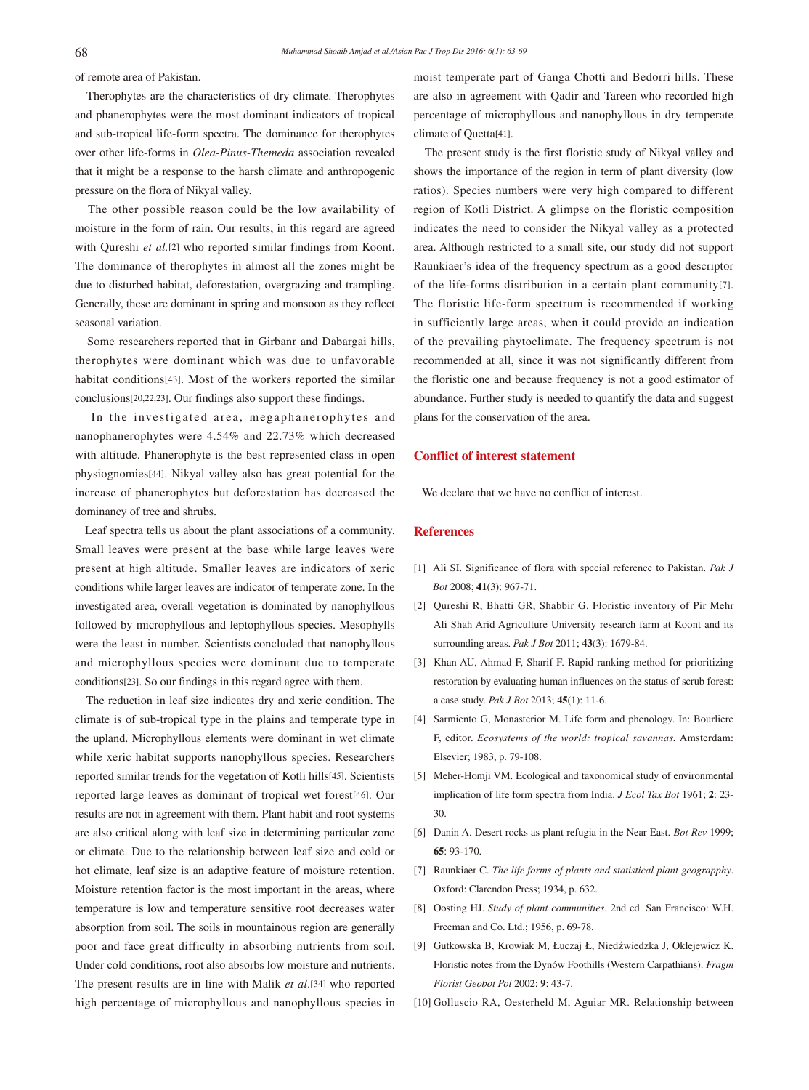of remote area of Pakistan.

 Therophytes are the characteristics of dry climate. Therophytes and phanerophytes were the most dominant indicators of tropical and sub-tropical life-form spectra. The dominance for therophytes over other life-forms in *Olea-Pinus-Themeda* association revealed that it might be a response to the harsh climate and anthropogenic pressure on the flora of Nikyal valley.

 The other possible reason could be the low availability of moisture in the form of rain. Our results, in this regard are agreed with Qureshi *et al.*[2] who reported similar findings from Koont. The dominance of therophytes in almost all the zones might be due to disturbed habitat, deforestation, overgrazing and trampling. Generally, these are dominant in spring and monsoon as they reflect seasonal variation.

 Some researchers reported that in Girbanr and Dabargai hills, therophytes were dominant which was due to unfavorable habitat conditions[43]. Most of the workers reported the similar conclusions[20,22,23]. Our findings also support these findings.

In the investigated area, megaphanerophytes and nanophanerophytes were 4.54% and 22.73% which decreased with altitude. Phanerophyte is the best represented class in open physiognomies[44]. Nikyal valley also has great potential for the increase of phanerophytes but deforestation has decreased the dominancy of tree and shrubs.

 Leaf spectra tells us about the plant associations of a community. Small leaves were present at the base while large leaves were present at high altitude. Smaller leaves are indicators of xeric conditions while larger leaves are indicator of temperate zone. In the investigated area, overall vegetation is dominated by nanophyllous followed by microphyllous and leptophyllous species. Mesophylls were the least in number. Scientists concluded that nanophyllous and microphyllous species were dominant due to temperate conditions[23]. So our findings in this regard agree with them.

 The reduction in leaf size indicates dry and xeric condition. The climate is of sub-tropical type in the plains and temperate type in the upland. Microphyllous elements were dominant in wet climate while xeric habitat supports nanophyllous species. Researchers reported similar trends for the vegetation of Kotli hills[45]. Scientists reported large leaves as dominant of tropical wet forest[46]. Our results are not in agreement with them. Plant habit and root systems are also critical along with leaf size in determining particular zone or climate. Due to the relationship between leaf size and cold or hot climate, leaf size is an adaptive feature of moisture retention. Moisture retention factor is the most important in the areas, where temperature is low and temperature sensitive root decreases water absorption from soil. The soils in mountainous region are generally poor and face great difficulty in absorbing nutrients from soil. Under cold conditions, root also absorbs low moisture and nutrients. The present results are in line with Malik *et al*.[34] who reported high percentage of microphyllous and nanophyllous species in moist temperate part of Ganga Chotti and Bedorri hills. These are also in agreement with Qadir and Tareen who recorded high percentage of microphyllous and nanophyllous in dry temperate climate of Quetta[41].

 The present study is the first floristic study of Nikyal valley and shows the importance of the region in term of plant diversity (low ratios). Species numbers were very high compared to different region of Kotli District. A glimpse on the floristic composition indicates the need to consider the Nikyal valley as a protected area. Although restricted to a small site, our study did not support Raunkiaer's idea of the frequency spectrum as a good descriptor of the life-forms distribution in a certain plant community[7]. The floristic life-form spectrum is recommended if working in sufficiently large areas, when it could provide an indication of the prevailing phytoclimate. The frequency spectrum is not recommended at all, since it was not significantly different from the floristic one and because frequency is not a good estimator of abundance. Further study is needed to quantify the data and suggest plans for the conservation of the area.

### **Conflict of interest statement**

We declare that we have no conflict of interest.

### **References**

- [1] Ali SI. Significance of flora with special reference to Pakistan. *Pak J Bot* 2008; **41**(3): 967-71.
- [2] Qureshi R, Bhatti GR, Shabbir G. Floristic inventory of Pir Mehr Ali Shah Arid Agriculture University research farm at Koont and its surrounding areas. *Pak J Bot* 2011; **43**(3): 1679-84.
- [3] Khan AU, Ahmad F, Sharif F. Rapid ranking method for prioritizing restoration by evaluating human influences on the status of scrub forest: a case study. *Pak J Bot* 2013; **45**(1): 11-6.
- [4] Sarmiento G, Monasterior M. Life form and phenology. In: Bourliere F, editor. *Ecosystems of the world: tropical savannas.* Amsterdam: Elsevier; 1983, p. 79-108.
- [5] Meher-Homji VM. Ecological and taxonomical study of environmental implication of life form spectra from India. *J Ecol Tax Bot* 1961; **2**: 23- 30.
- [6] Danin A. Desert rocks as plant refugia in the Near East. *Bot Rev* 1999; **65**: 93-170.
- [7] Raunkiaer C. *The life forms of plants and statistical plant geograpphy*. Oxford: Clarendon Press; 1934, p. 632.
- [8] Oosting HJ. *Study of plant communities*. 2nd ed. San Francisco: W.H. Freeman and Co. Ltd.; 1956, p. 69-78.
- [9] Gutkowska B, Krowiak M, Łuczaj Ł, Niedźwiedzka J, Oklejewicz K. Floristic notes from the Dynów Foothills (Western Carpathians). *Fragm Florist Geobot Pol* 2002; **9**: 43-7.
- [10] Golluscio RA, Oesterheld M, Aguiar MR. Relationship between